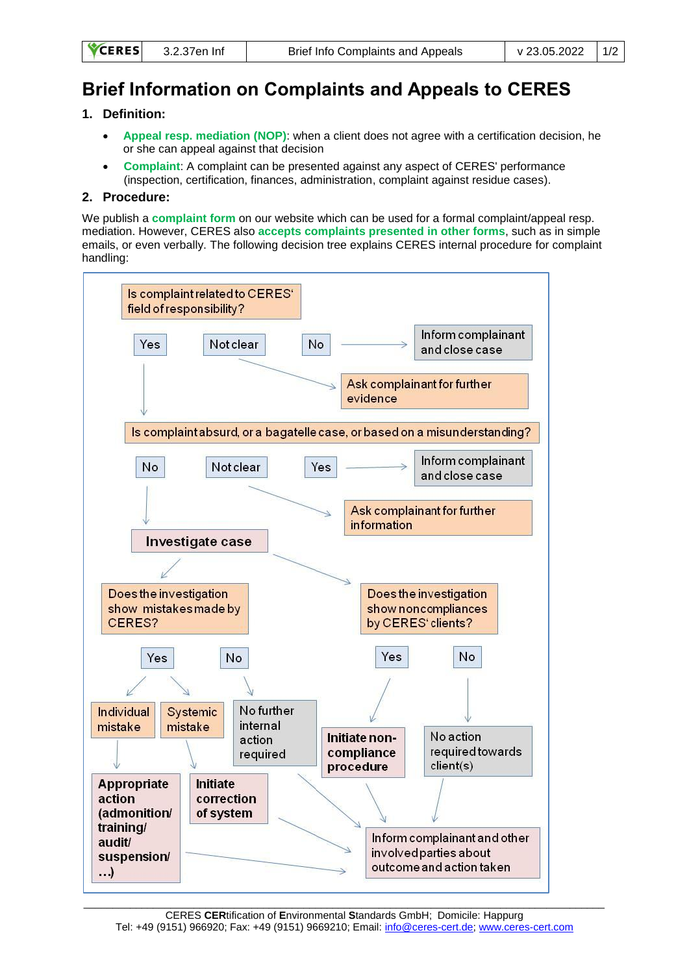| <b>RES</b> | 3.2.37en Inf |  |
|------------|--------------|--|
|            |              |  |

## **Brief Information on Complaints and Appeals to CERES**

## **1. Definition:**

**CE** 

- **Appeal resp. mediation (NOP)**: when a client does not agree with a certification decision, he or she can appeal against that decision
- **Complaint**: A complaint can be presented against any aspect of CERES' performance (inspection, certification, finances, administration, complaint against residue cases).

## **2. Procedure:**

We publish a **complaint form** on our website which can be used for a formal complaint/appeal resp. mediation. However, CERES also **accepts complaints presented in other forms**, such as in simple emails, or even verbally. The following decision tree explains CERES internal procedure for complaint handling: